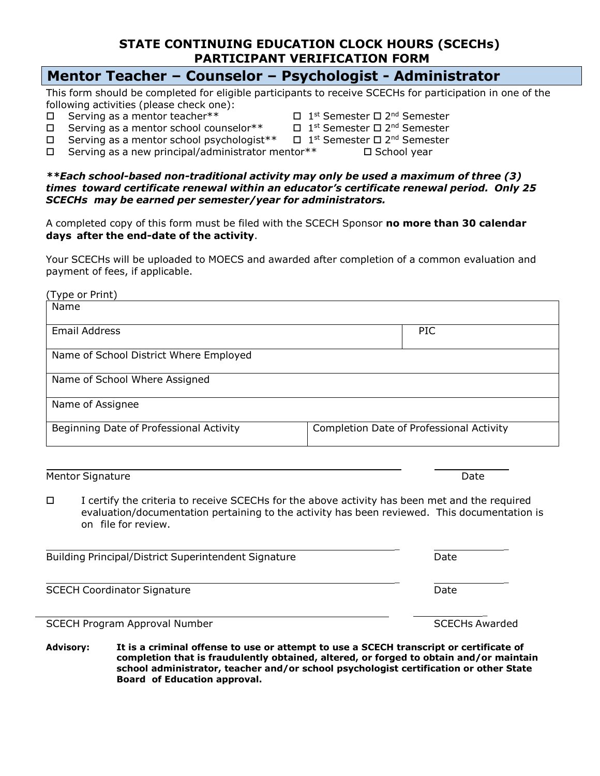## **STATE CONTINUING EDUCATION CLOCK HOURS (SCECHs) PARTICIPANT VERIFICATION FORM**

## **Mentor Teacher – Counselor – Psychologist - Administrator**

This form should be completed for eligible participants to receive SCECHs for participation in one of the following activities (please check one):

- $\Box$  Serving as a mentor teacher\*\*
- $\Box$  Serving as a mentor school counselor \*\*
- <sup>st</sup> Semester □ 2<sup>nd</sup> Semester
- <sup>st</sup> Semester □ 2<sup>nd</sup> Semester <sup>st</sup> Semester □ 2<sup>nd</sup> Semester
- $\Box$  Serving as a mentor school psychologist\*\*  $\Box$  Serving as a new principal/administrator mentor\*\*  $\Box$  School year
- *\*\*Each school-based non-traditional activity may only be used a maximum of three (3) times toward certificate renewal within an educator's certificate renewal period. Only 25 SCECHs may be earned per semester/year for administrators.*

A completed copy of this form must be filed with the SCECH Sponsor **no more than 30 calendar days after the end-date of the activity**.

Your SCECHs will be uploaded to MOECS and awarded after completion of a common evaluation and payment of fees, if applicable.

| (Type or Print)                         |                                          |
|-----------------------------------------|------------------------------------------|
| Name                                    |                                          |
|                                         |                                          |
| <b>Email Address</b>                    | <b>PIC</b>                               |
|                                         |                                          |
| Name of School District Where Employed  |                                          |
|                                         |                                          |
| Name of School Where Assigned           |                                          |
|                                         |                                          |
| Name of Assignee                        |                                          |
|                                         |                                          |
| Beginning Date of Professional Activity | Completion Date of Professional Activity |
|                                         |                                          |
|                                         |                                          |

Mentor Signature Date **Date of the Contract of Contract Contract of Contract Contract Contract Only and Date** 

□ I certify the criteria to receive SCECHs for the above activity has been met and the required evaluation/documentation pertaining to the activity has been reviewed. This documentation is on file for review.

\_ \_ Building Principal/District Superintendent Signature Theorem Contract Date \_ \_ SCECH Coordinator Signature **Date** Date of Coordinator Signature Date of Coordinator Signature Date

SCECH Program Approval Number SCECHs Awarded

**Advisory: It is a criminal offense to use or attempt to use a SCECH transcript or certificate of completion that is fraudulently obtained, altered, or forged to obtain and/or maintain school administrator, teacher and/or school psychologist certification or other State Board of Education approval.**